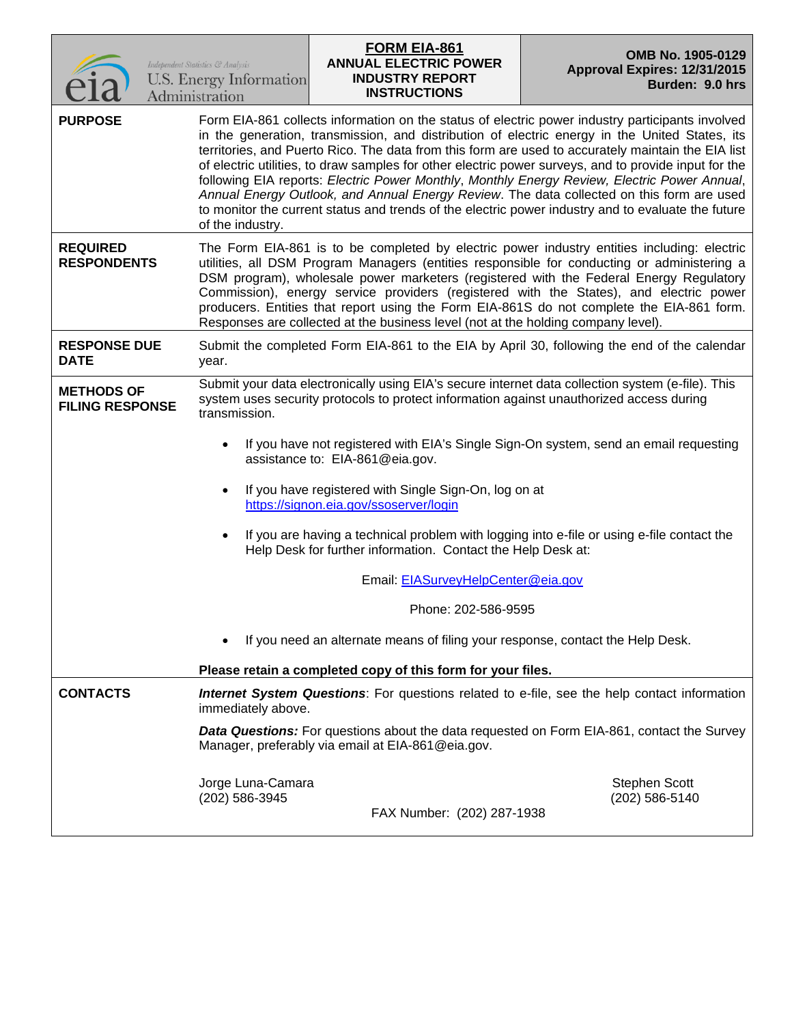|                                             | <b>FORM EIA-861</b><br>OMB No. 1905-0129<br><b>ANNUAL ELECTRIC POWER</b><br>Independent Statistics & Analysis<br>Approval Expires: 12/31/2015<br>U.S. Energy Information<br><b>INDUSTRY REPORT</b><br>Burden: 9.0 hrs<br><b>INSTRUCTIONS</b><br>Administration                                                                                                                                                                                                                                                                                                                                                                                                                                                                           |  |  |  |  |
|---------------------------------------------|------------------------------------------------------------------------------------------------------------------------------------------------------------------------------------------------------------------------------------------------------------------------------------------------------------------------------------------------------------------------------------------------------------------------------------------------------------------------------------------------------------------------------------------------------------------------------------------------------------------------------------------------------------------------------------------------------------------------------------------|--|--|--|--|
| <b>PURPOSE</b>                              | Form EIA-861 collects information on the status of electric power industry participants involved<br>in the generation, transmission, and distribution of electric energy in the United States, its<br>territories, and Puerto Rico. The data from this form are used to accurately maintain the EIA list<br>of electric utilities, to draw samples for other electric power surveys, and to provide input for the<br>following EIA reports: Electric Power Monthly, Monthly Energy Review, Electric Power Annual,<br>Annual Energy Outlook, and Annual Energy Review. The data collected on this form are used<br>to monitor the current status and trends of the electric power industry and to evaluate the future<br>of the industry. |  |  |  |  |
| <b>REQUIRED</b><br><b>RESPONDENTS</b>       | The Form EIA-861 is to be completed by electric power industry entities including: electric<br>utilities, all DSM Program Managers (entities responsible for conducting or administering a<br>DSM program), wholesale power marketers (registered with the Federal Energy Regulatory<br>Commission), energy service providers (registered with the States), and electric power<br>producers. Entities that report using the Form EIA-861S do not complete the EIA-861 form.<br>Responses are collected at the business level (not at the holding company level).                                                                                                                                                                         |  |  |  |  |
| <b>RESPONSE DUE</b><br><b>DATE</b>          | Submit the completed Form EIA-861 to the EIA by April 30, following the end of the calendar<br>year.                                                                                                                                                                                                                                                                                                                                                                                                                                                                                                                                                                                                                                     |  |  |  |  |
| <b>METHODS OF</b><br><b>FILING RESPONSE</b> | Submit your data electronically using EIA's secure internet data collection system (e-file). This<br>system uses security protocols to protect information against unauthorized access during<br>transmission.                                                                                                                                                                                                                                                                                                                                                                                                                                                                                                                           |  |  |  |  |
|                                             | If you have not registered with EIA's Single Sign-On system, send an email requesting<br>assistance to: EIA-861@eia.gov.                                                                                                                                                                                                                                                                                                                                                                                                                                                                                                                                                                                                                 |  |  |  |  |
|                                             | If you have registered with Single Sign-On, log on at<br>https://signon.eia.gov/ssoserver/login                                                                                                                                                                                                                                                                                                                                                                                                                                                                                                                                                                                                                                          |  |  |  |  |
|                                             | If you are having a technical problem with logging into e-file or using e-file contact the<br>Help Desk for further information. Contact the Help Desk at:                                                                                                                                                                                                                                                                                                                                                                                                                                                                                                                                                                               |  |  |  |  |
|                                             | Email: EIASurveyHelpCenter@eia.gov                                                                                                                                                                                                                                                                                                                                                                                                                                                                                                                                                                                                                                                                                                       |  |  |  |  |
|                                             | Phone: 202-586-9595                                                                                                                                                                                                                                                                                                                                                                                                                                                                                                                                                                                                                                                                                                                      |  |  |  |  |
|                                             | If you need an alternate means of filing your response, contact the Help Desk.                                                                                                                                                                                                                                                                                                                                                                                                                                                                                                                                                                                                                                                           |  |  |  |  |
|                                             | Please retain a completed copy of this form for your files.                                                                                                                                                                                                                                                                                                                                                                                                                                                                                                                                                                                                                                                                              |  |  |  |  |
| <b>CONTACTS</b>                             | <b>Internet System Questions:</b> For questions related to e-file, see the help contact information<br>immediately above.                                                                                                                                                                                                                                                                                                                                                                                                                                                                                                                                                                                                                |  |  |  |  |
|                                             | <b>Data Questions:</b> For questions about the data requested on Form EIA-861, contact the Survey<br>Manager, preferably via email at EIA-861@eia.gov.                                                                                                                                                                                                                                                                                                                                                                                                                                                                                                                                                                                   |  |  |  |  |
|                                             | <b>Stephen Scott</b><br>Jorge Luna-Camara<br>(202) 586-3945<br>(202) 586-5140<br>FAX Number: (202) 287-1938                                                                                                                                                                                                                                                                                                                                                                                                                                                                                                                                                                                                                              |  |  |  |  |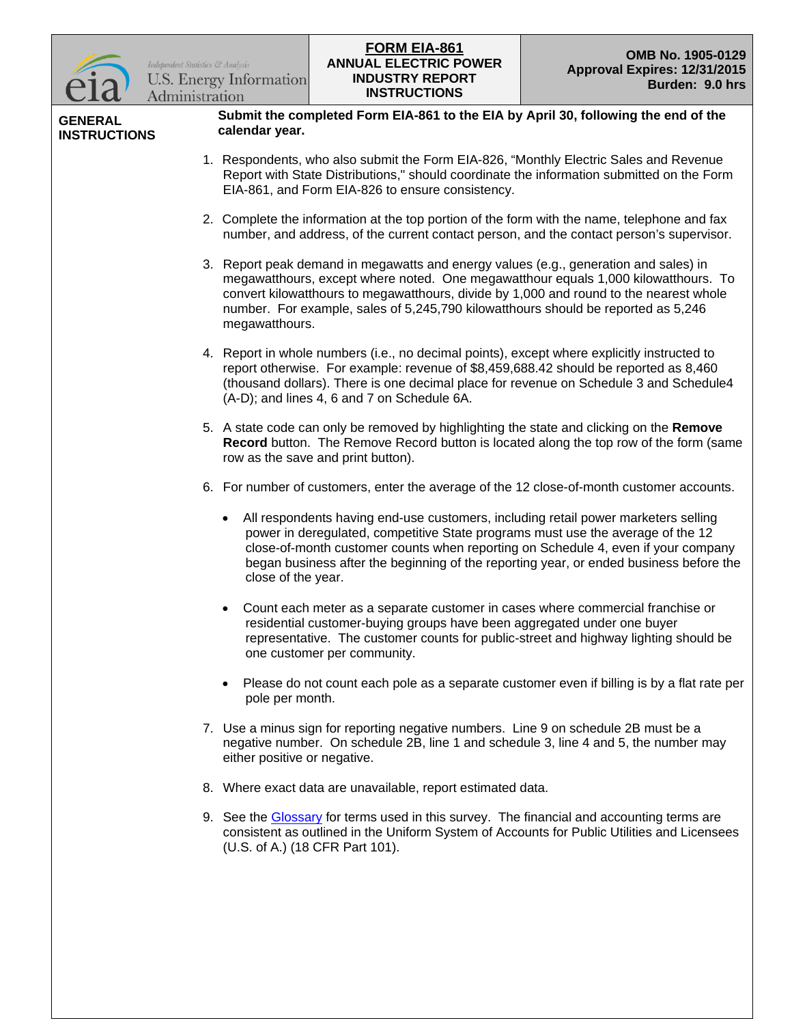

**GENERAL INSTRUCTIONS** **Submit the completed Form EIA-861 to the EIA by April 30, following the end of the calendar year.**

- 1. Respondents, who also submit the Form EIA-826, "Monthly Electric Sales and Revenue Report with State Distributions," should coordinate the information submitted on the Form EIA-861, and Form EIA-826 to ensure consistency.
- 2. Complete the information at the top portion of the form with the name, telephone and fax number, and address, of the current contact person, and the contact person's supervisor.
- 3. Report peak demand in megawatts and energy values (e.g., generation and sales) in megawatthours, except where noted. One megawatthour equals 1,000 kilowatthours. To convert kilowatthours to megawatthours, divide by 1,000 and round to the nearest whole number. For example, sales of 5,245,790 kilowatthours should be reported as 5,246 megawatthours.
- 4. Report in whole numbers (i.e., no decimal points), except where explicitly instructed to report otherwise. For example: revenue of \$8,459,688.42 should be reported as 8,460 (thousand dollars). There is one decimal place for revenue on Schedule 3 and Schedule4 (A-D); and lines 4, 6 and 7 on Schedule 6A.
- 5. A state code can only be removed by highlighting the state and clicking on the **Remove Record** button. The Remove Record button is located along the top row of the form (same row as the save and print button).
- 6. For number of customers, enter the average of the 12 close-of-month customer accounts.
	- All respondents having end-use customers, including retail power marketers selling power in deregulated, competitive State programs must use the average of the 12 close-of-month customer counts when reporting on Schedule 4, even if your company began business after the beginning of the reporting year, or ended business before the close of the year.
	- Count each meter as a separate customer in cases where commercial franchise or residential customer-buying groups have been aggregated under one buyer representative. The customer counts for public-street and highway lighting should be one customer per community.
	- Please do not count each pole as a separate customer even if billing is by a flat rate per pole per month.
- 7. Use a minus sign for reporting negative numbers. Line 9 on schedule 2B must be a negative number. On schedule 2B, line 1 and schedule 3, line 4 and 5, the number may either positive or negative.
- 8. Where exact data are unavailable, report estimated data.
- 9. See the [Glossary](http://205.254.135.7/tools/glossary/) for terms used in this survey. The financial and accounting terms are consistent as outlined in the Uniform System of Accounts for Public Utilities and Licensees (U.S. of A.) (18 CFR Part 101).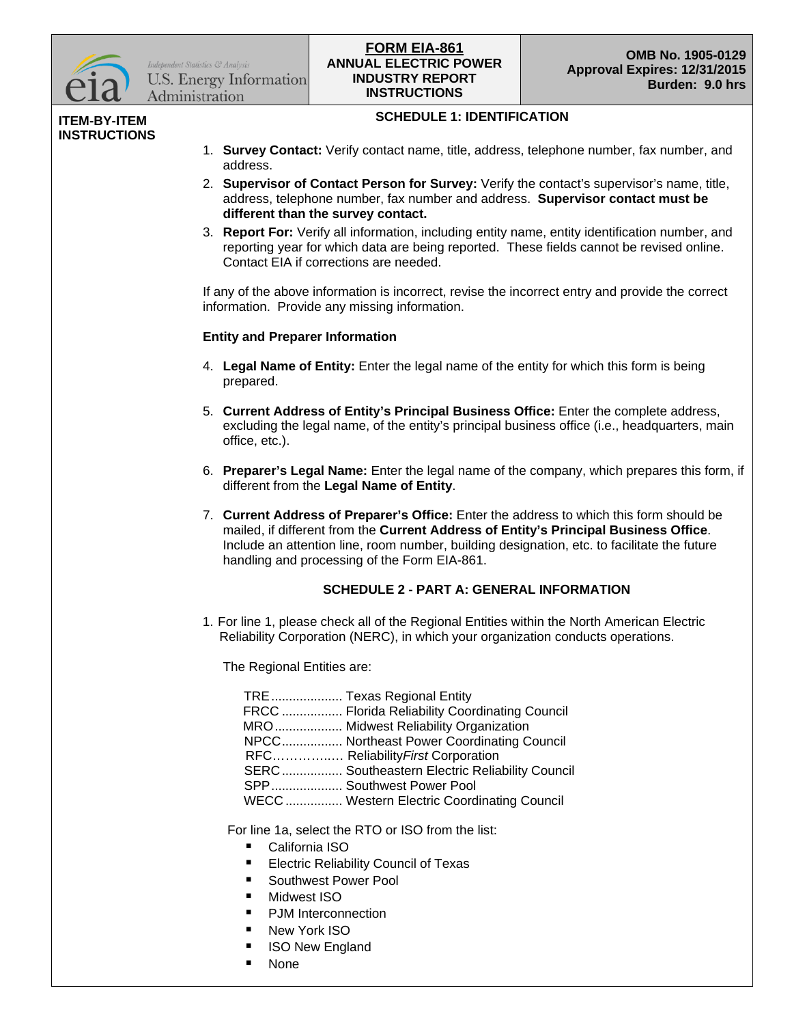

Independent Statistics & Analysis **U.S. Energy Information** Administration

## **ANNUAL ELECTRIC POWER INDUSTRY REPORT INSTRUCTIONS FORM EIA-861**<br> **COMB No. 1905-0129**

#### **ITEM-BY-ITEM INSTRUCTIONS**

## **SCHEDULE 1: IDENTIFICATION**

- 1. **Survey Contact:** Verify contact name, title, address, telephone number, fax number, and address.
- 2. **Supervisor of Contact Person for Survey:** Verify the contact's supervisor's name, title, address, telephone number, fax number and address. **Supervisor contact must be different than the survey contact.**
- 3. **Report For:** Verify all information, including entity name, entity identification number, and reporting year for which data are being reported. These fields cannot be revised online. Contact EIA if corrections are needed.

If any of the above information is incorrect, revise the incorrect entry and provide the correct information. Provide any missing information.

## **Entity and Preparer Information**

- 4. **Legal Name of Entity:** Enter the legal name of the entity for which this form is being prepared.
- 5. **Current Address of Entity's Principal Business Office:** Enter the complete address, excluding the legal name, of the entity's principal business office (i.e., headquarters, main office, etc.).
- 6. **Preparer's Legal Name:** Enter the legal name of the company, which prepares this form, if different from the **Legal Name of Entity**.
- 7. **Current Address of Preparer's Office:** Enter the address to which this form should be mailed, if different from the **Current Address of Entity's Principal Business Office**. Include an attention line, room number, building designation, etc. to facilitate the future handling and processing of the Form EIA-861.

## **SCHEDULE 2 - PART A: GENERAL INFORMATION**

1. For line 1, please check all of the Regional Entities within the North American Electric Reliability Corporation (NERC), in which your organization conducts operations.

The Regional Entities are:

| TRE  Texas Regional Entity                     |
|------------------------------------------------|
| FRCC  Florida Reliability Coordinating Council |
| MRO Midwest Reliability Organization           |
| NPCC Northeast Power Coordinating Council      |
| RFC Reliability First Corporation              |
| SERC Southeastern Electric Reliability Council |
| SPP Southwest Power Pool                       |
| WECC Western Electric Coordinating Council     |

For line 1a, select the RTO or ISO from the list:

- California ISO
- **Electric Reliability Council of Texas**
- Southwest Power Pool
- **Nidwest ISO**
- PJM Interconnection
- New York ISO
- ISO New England
- **None**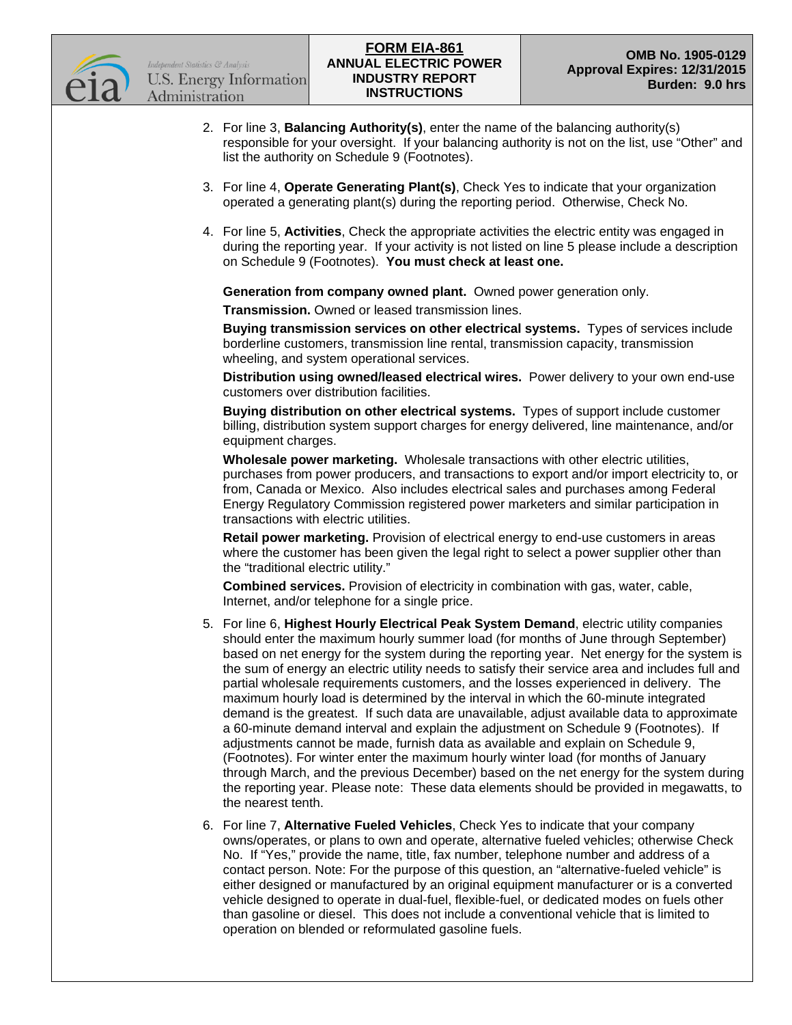

- 2. For line 3, **Balancing Authority(s)**, enter the name of the balancing authority(s) responsible for your oversight. If your balancing authority is not on the list, use "Other" and list the authority on Schedule 9 (Footnotes).
- 3. For line 4, **Operate Generating Plant(s)**, Check Yes to indicate that your organization operated a generating plant(s) during the reporting period. Otherwise, Check No.
- 4. For line 5, **Activities**, Check the appropriate activities the electric entity was engaged in during the reporting year. If your activity is not listed on line 5 please include a description on Schedule 9 (Footnotes). **You must check at least one.**

**Generation from company owned plant.** Owned power generation only.

**Transmission.** Owned or leased transmission lines.

**Buying transmission services on other electrical systems.** Types of services include borderline customers, transmission line rental, transmission capacity, transmission wheeling, and system operational services.

**Distribution using owned/leased electrical wires.** Power delivery to your own end-use customers over distribution facilities.

**Buying distribution on other electrical systems.** Types of support include customer billing, distribution system support charges for energy delivered, line maintenance, and/or equipment charges.

**Wholesale power marketing.** Wholesale transactions with other electric utilities, purchases from power producers, and transactions to export and/or import electricity to, or from, Canada or Mexico. Also includes electrical sales and purchases among Federal Energy Regulatory Commission registered power marketers and similar participation in transactions with electric utilities.

**Retail power marketing.** Provision of electrical energy to end-use customers in areas where the customer has been given the legal right to select a power supplier other than the "traditional electric utility."

**Combined services.** Provision of electricity in combination with gas, water, cable, Internet, and/or telephone for a single price.

- 5. For line 6, **Highest Hourly Electrical Peak System Demand**, electric utility companies should enter the maximum hourly summer load (for months of June through September) based on net energy for the system during the reporting year. Net energy for the system is the sum of energy an electric utility needs to satisfy their service area and includes full and partial wholesale requirements customers, and the losses experienced in delivery. The maximum hourly load is determined by the interval in which the 60-minute integrated demand is the greatest. If such data are unavailable, adjust available data to approximate a 60-minute demand interval and explain the adjustment on Schedule 9 (Footnotes). If adjustments cannot be made, furnish data as available and explain on Schedule 9, (Footnotes). For winter enter the maximum hourly winter load (for months of January through March, and the previous December) based on the net energy for the system during the reporting year. Please note: These data elements should be provided in megawatts, to the nearest tenth.
- 6. For line 7, **Alternative Fueled Vehicles**, Check Yes to indicate that your company owns/operates, or plans to own and operate, alternative fueled vehicles; otherwise Check No. If "Yes," provide the name, title, fax number, telephone number and address of a contact person. Note: For the purpose of this question, an "alternative-fueled vehicle" is either designed or manufactured by an original equipment manufacturer or is a converted vehicle designed to operate in dual-fuel, flexible-fuel, or dedicated modes on fuels other than gasoline or diesel. This does not include a conventional vehicle that is limited to operation on blended or reformulated gasoline fuels.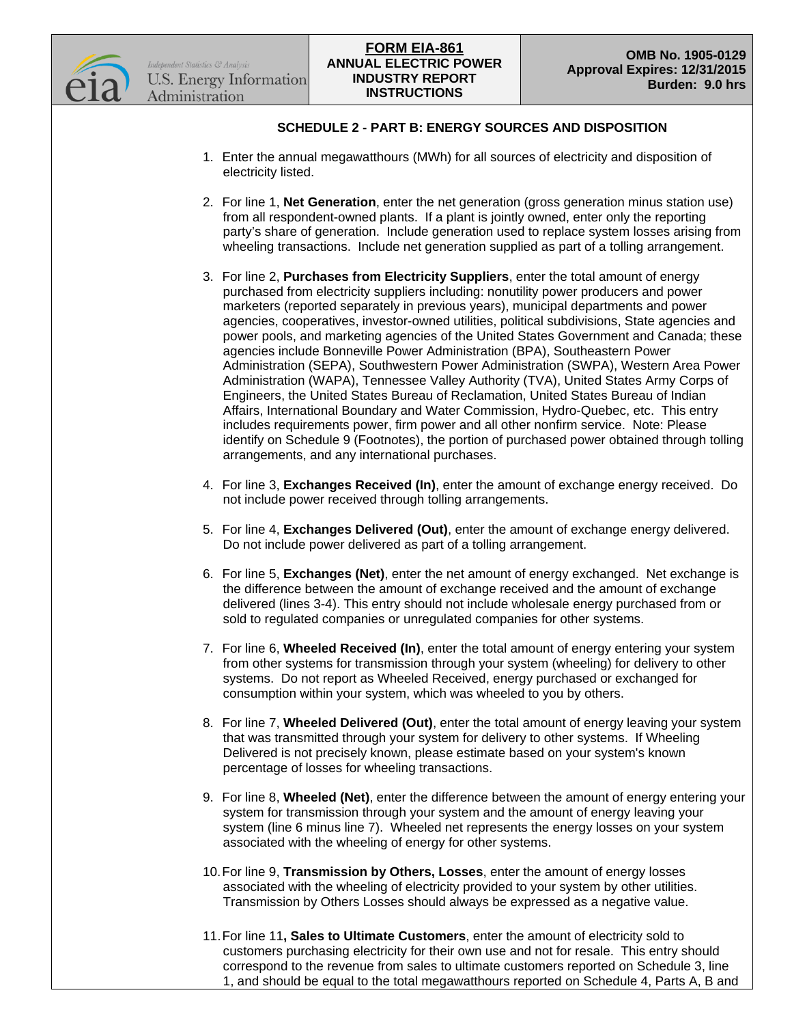

## **SCHEDULE 2 - PART B: ENERGY SOURCES AND DISPOSITION**

- 1. Enter the annual megawatthours (MWh) for all sources of electricity and disposition of electricity listed.
- 2. For line 1, **Net Generation**, enter the net generation (gross generation minus station use) from all respondent-owned plants. If a plant is jointly owned, enter only the reporting party's share of generation. Include generation used to replace system losses arising from wheeling transactions. Include net generation supplied as part of a tolling arrangement.
- 3. For line 2, **Purchases from Electricity Suppliers**, enter the total amount of energy purchased from electricity suppliers including: nonutility power producers and power marketers (reported separately in previous years), municipal departments and power agencies, cooperatives, investor-owned utilities, political subdivisions, State agencies and power pools, and marketing agencies of the United States Government and Canada; these agencies include Bonneville Power Administration (BPA), Southeastern Power Administration (SEPA), Southwestern Power Administration (SWPA), Western Area Power Administration (WAPA), Tennessee Valley Authority (TVA), United States Army Corps of Engineers, the United States Bureau of Reclamation, United States Bureau of Indian Affairs, International Boundary and Water Commission, Hydro-Quebec, etc. This entry includes requirements power, firm power and all other nonfirm service. Note: Please identify on Schedule 9 (Footnotes), the portion of purchased power obtained through tolling arrangements, and any international purchases.
- 4. For line 3, **Exchanges Received (In)**, enter the amount of exchange energy received. Do not include power received through tolling arrangements.
- 5. For line 4, **Exchanges Delivered (Out)**, enter the amount of exchange energy delivered. Do not include power delivered as part of a tolling arrangement.
- 6. For line 5, **Exchanges (Net)**, enter the net amount of energy exchanged. Net exchange is the difference between the amount of exchange received and the amount of exchange delivered (lines 3-4). This entry should not include wholesale energy purchased from or sold to regulated companies or unregulated companies for other systems.
- 7. For line 6, **Wheeled Received (In)**, enter the total amount of energy entering your system from other systems for transmission through your system (wheeling) for delivery to other systems. Do not report as Wheeled Received, energy purchased or exchanged for consumption within your system, which was wheeled to you by others.
- 8. For line 7, **Wheeled Delivered (Out)**, enter the total amount of energy leaving your system that was transmitted through your system for delivery to other systems. If Wheeling Delivered is not precisely known, please estimate based on your system's known percentage of losses for wheeling transactions.
- 9. For line 8, **Wheeled (Net)**, enter the difference between the amount of energy entering your system for transmission through your system and the amount of energy leaving your system (line 6 minus line 7). Wheeled net represents the energy losses on your system associated with the wheeling of energy for other systems.
- 10.For line 9, **Transmission by Others, Losses**, enter the amount of energy losses associated with the wheeling of electricity provided to your system by other utilities. Transmission by Others Losses should always be expressed as a negative value.
- 11.For line 11**, Sales to Ultimate Customers**, enter the amount of electricity sold to customers purchasing electricity for their own use and not for resale. This entry should correspond to the revenue from sales to ultimate customers reported on Schedule 3, line 1, and should be equal to the total megawatthours reported on Schedule 4, Parts A, B and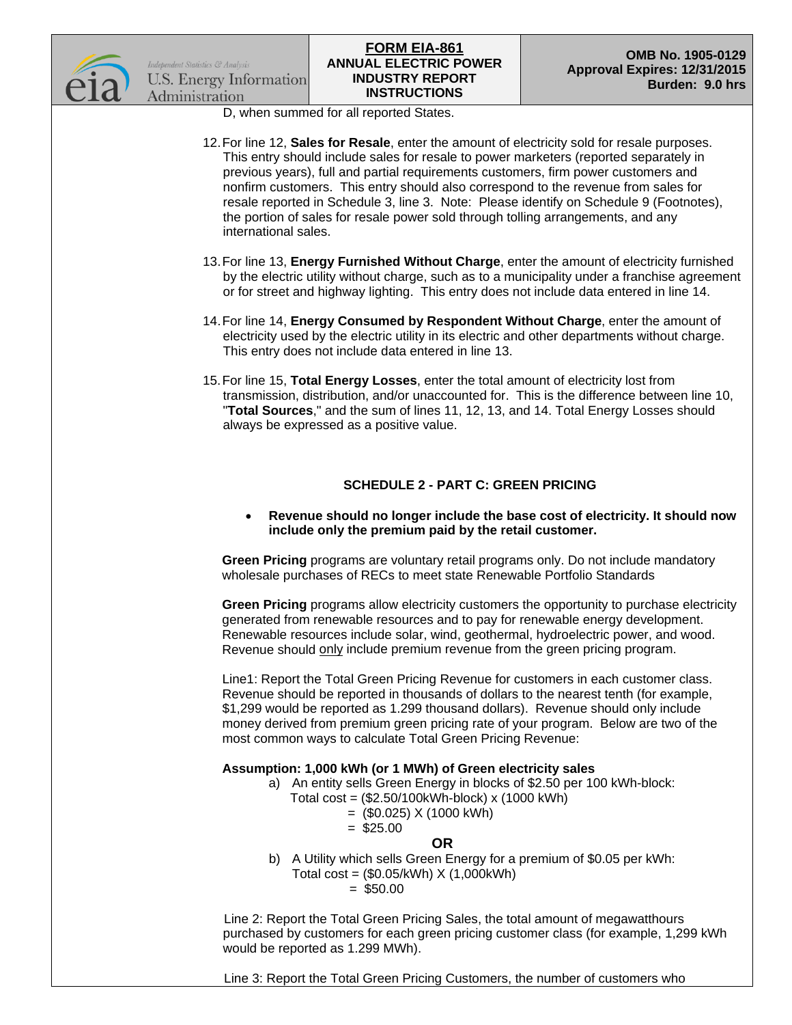



D, when summed for all reported States.

- 12.For line 12, **Sales for Resale**, enter the amount of electricity sold for resale purposes. This entry should include sales for resale to power marketers (reported separately in previous years), full and partial requirements customers, firm power customers and nonfirm customers. This entry should also correspond to the revenue from sales for resale reported in Schedule 3, line 3. Note: Please identify on Schedule 9 (Footnotes), the portion of sales for resale power sold through tolling arrangements, and any international sales.
- 13.For line 13, **Energy Furnished Without Charge**, enter the amount of electricity furnished by the electric utility without charge, such as to a municipality under a franchise agreement or for street and highway lighting. This entry does not include data entered in line 14.
- 14.For line 14, **Energy Consumed by Respondent Without Charge**, enter the amount of electricity used by the electric utility in its electric and other departments without charge. This entry does not include data entered in line 13.
- 15.For line 15, **Total Energy Losses**, enter the total amount of electricity lost from transmission, distribution, and/or unaccounted for. This is the difference between line 10, "**Total Sources**," and the sum of lines 11, 12, 13, and 14. Total Energy Losses should always be expressed as a positive value.

## **SCHEDULE 2 - PART C: GREEN PRICING**

• **Revenue should no longer include the base cost of electricity. It should now include only the premium paid by the retail customer.**

**Green Pricing** programs are voluntary retail programs only. Do not include mandatory wholesale purchases of RECs to meet state Renewable Portfolio Standards

**Green Pricing** programs allow electricity customers the opportunity to purchase electricity generated from renewable resources and to pay for renewable energy development. Renewable resources include solar, wind, geothermal, hydroelectric power, and wood. Revenue should only include premium revenue from the green pricing program.

Line1: Report the Total Green Pricing Revenue for customers in each customer class. Revenue should be reported in thousands of dollars to the nearest tenth (for example, \$1,299 would be reported as 1.299 thousand dollars). Revenue should only include money derived from premium green pricing rate of your program. Below are two of the most common ways to calculate Total Green Pricing Revenue:

## **Assumption: 1,000 kWh (or 1 MWh) of Green electricity sales**

- a) An entity sells Green Energy in blocks of \$2.50 per 100 kWh-block:
	- Total cost = (\$2.50/100kWh-block) x (1000 kWh)
		- $=$  (\$0.025) X (1000 kWh)

## $=$  \$25.00

- **OR**
- b) A Utility which sells Green Energy for a premium of \$0.05 per kWh: Total cost = (\$0.05/kWh) X (1,000kWh)

$$
= $50.00
$$

 Line 2: Report the Total Green Pricing Sales, the total amount of megawatthours purchased by customers for each green pricing customer class (for example, 1,299 kWh would be reported as 1.299 MWh).

Line 3: Report the Total Green Pricing Customers, the number of customers who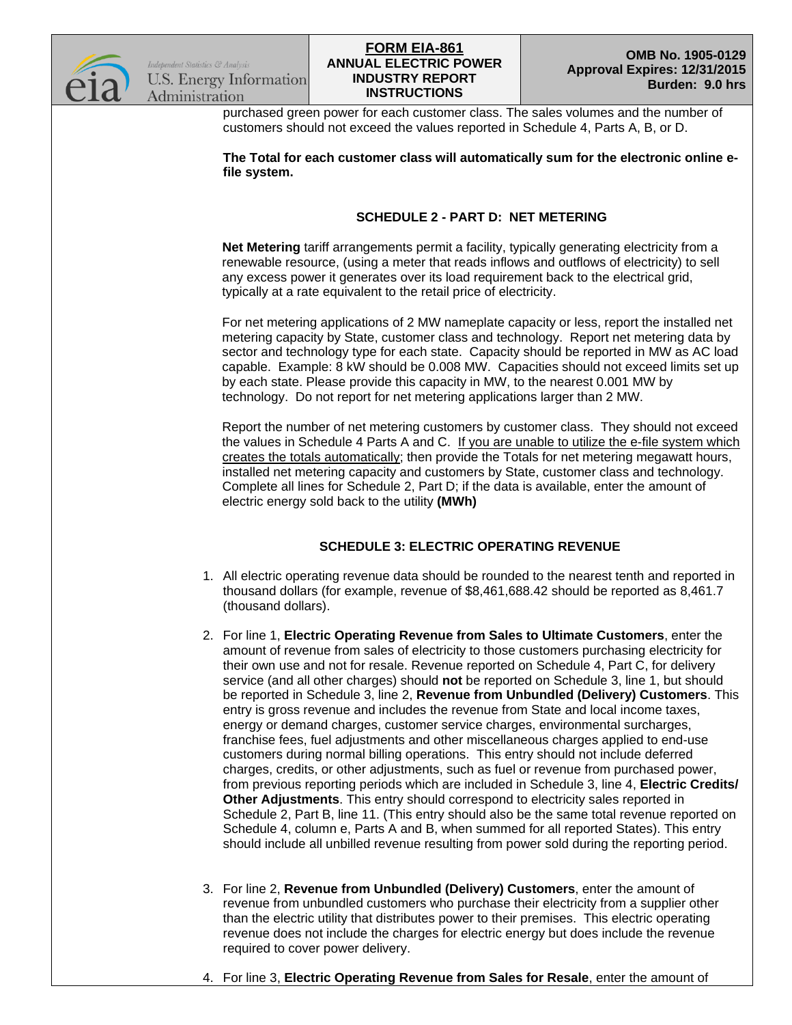

purchased green power for each customer class. The sales volumes and the number of customers should not exceed the values reported in Schedule 4, Parts A, B, or D.

**The Total for each customer class will automatically sum for the electronic online efile system.** 

## **SCHEDULE 2 - PART D: NET METERING**

**Net Metering** tariff arrangements permit a facility, typically generating electricity from a renewable resource, (using a meter that reads inflows and outflows of electricity) to sell any excess power it generates over its load requirement back to the electrical grid, typically at a rate equivalent to the retail price of electricity.

For net metering applications of 2 MW nameplate capacity or less, report the installed net metering capacity by State, customer class and technology. Report net metering data by sector and technology type for each state. Capacity should be reported in MW as AC load capable. Example: 8 kW should be 0.008 MW. Capacities should not exceed limits set up by each state. Please provide this capacity in MW, to the nearest 0.001 MW by technology. Do not report for net metering applications larger than 2 MW.

Report the number of net metering customers by customer class. They should not exceed the values in Schedule 4 Parts A and C. If you are unable to utilize the e-file system which creates the totals automatically; then provide the Totals for net metering megawatt hours, installed net metering capacity and customers by State, customer class and technology. Complete all lines for Schedule 2, Part D; if the data is available, enter the amount of electric energy sold back to the utility **(MWh)**

## **SCHEDULE 3: ELECTRIC OPERATING REVENUE**

- 1. All electric operating revenue data should be rounded to the nearest tenth and reported in thousand dollars (for example, revenue of \$8,461,688.42 should be reported as 8,461.7 (thousand dollars).
- 2. For line 1, **Electric Operating Revenue from Sales to Ultimate Customers**, enter the amount of revenue from sales of electricity to those customers purchasing electricity for their own use and not for resale. Revenue reported on Schedule 4, Part C, for delivery service (and all other charges) should **not** be reported on Schedule 3, line 1, but should be reported in Schedule 3, line 2, **Revenue from Unbundled (Delivery) Customers**. This entry is gross revenue and includes the revenue from State and local income taxes, energy or demand charges, customer service charges, environmental surcharges, franchise fees, fuel adjustments and other miscellaneous charges applied to end-use customers during normal billing operations. This entry should not include deferred charges, credits, or other adjustments, such as fuel or revenue from purchased power, from previous reporting periods which are included in Schedule 3, line 4, **Electric Credits/ Other Adjustments**. This entry should correspond to electricity sales reported in Schedule 2, Part B, line 11. (This entry should also be the same total revenue reported on Schedule 4, column e, Parts A and B, when summed for all reported States). This entry should include all unbilled revenue resulting from power sold during the reporting period.
- 3. For line 2, **Revenue from Unbundled (Delivery) Customers**, enter the amount of revenue from unbundled customers who purchase their electricity from a supplier other than the electric utility that distributes power to their premises. This electric operating revenue does not include the charges for electric energy but does include the revenue required to cover power delivery.
- 4. For line 3, **Electric Operating Revenue from Sales for Resale**, enter the amount of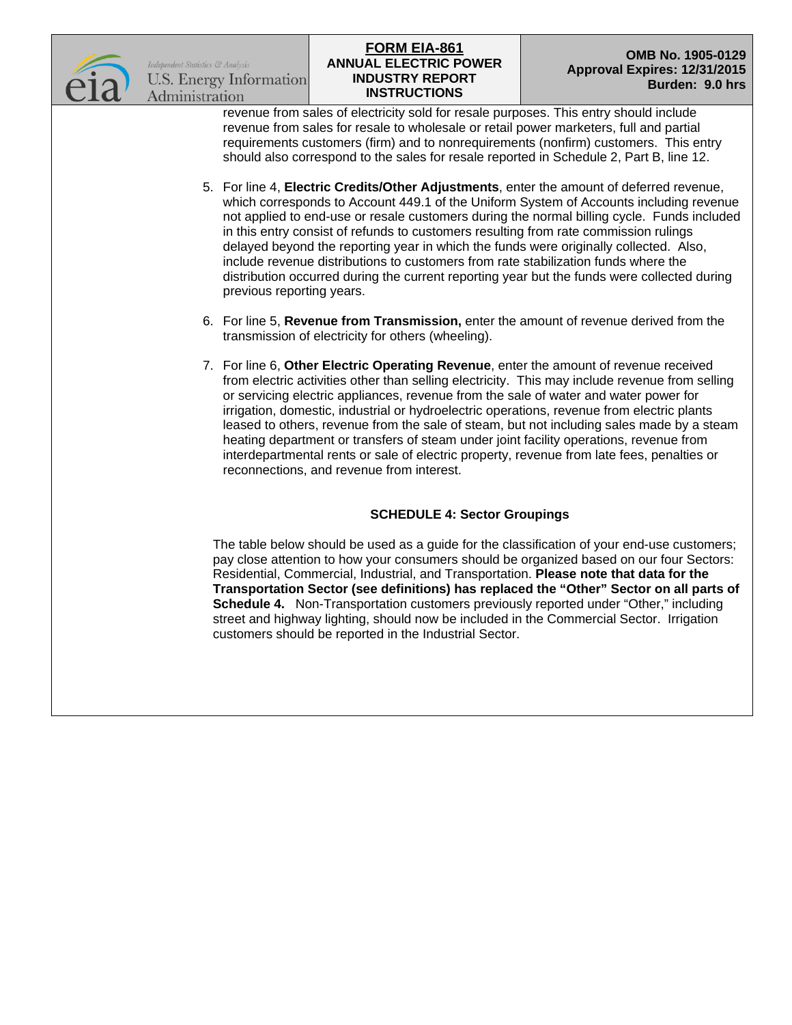

## **ANNUAL ELECTRIC POWER INDUSTRY REPORT INSTRUCTIONS FORM EIA-861**<br> **COMB No. 1905-0129**

revenue from sales of electricity sold for resale purposes. This entry should include revenue from sales for resale to wholesale or retail power marketers, full and partial requirements customers (firm) and to nonrequirements (nonfirm) customers. This entry should also correspond to the sales for resale reported in Schedule 2, Part B, line 12.

- 5. For line 4, **Electric Credits/Other Adjustments**, enter the amount of deferred revenue, which corresponds to Account 449.1 of the Uniform System of Accounts including revenue not applied to end-use or resale customers during the normal billing cycle. Funds included in this entry consist of refunds to customers resulting from rate commission rulings delayed beyond the reporting year in which the funds were originally collected. Also, include revenue distributions to customers from rate stabilization funds where the distribution occurred during the current reporting year but the funds were collected during previous reporting years.
- 6. For line 5, **Revenue from Transmission,** enter the amount of revenue derived from the transmission of electricity for others (wheeling).
- 7. For line 6, **Other Electric Operating Revenue**, enter the amount of revenue received from electric activities other than selling electricity. This may include revenue from selling or servicing electric appliances, revenue from the sale of water and water power for irrigation, domestic, industrial or hydroelectric operations, revenue from electric plants leased to others, revenue from the sale of steam, but not including sales made by a steam heating department or transfers of steam under joint facility operations, revenue from interdepartmental rents or sale of electric property, revenue from late fees, penalties or reconnections, and revenue from interest.

## **SCHEDULE 4: Sector Groupings**

The table below should be used as a guide for the classification of your end-use customers; pay close attention to how your consumers should be organized based on our four Sectors: Residential, Commercial, Industrial, and Transportation. **Please note that data for the Transportation Sector (see definitions) has replaced the "Other" Sector on all parts of Schedule 4.** Non-Transportation customers previously reported under "Other," including street and highway lighting, should now be included in the Commercial Sector. Irrigation customers should be reported in the Industrial Sector.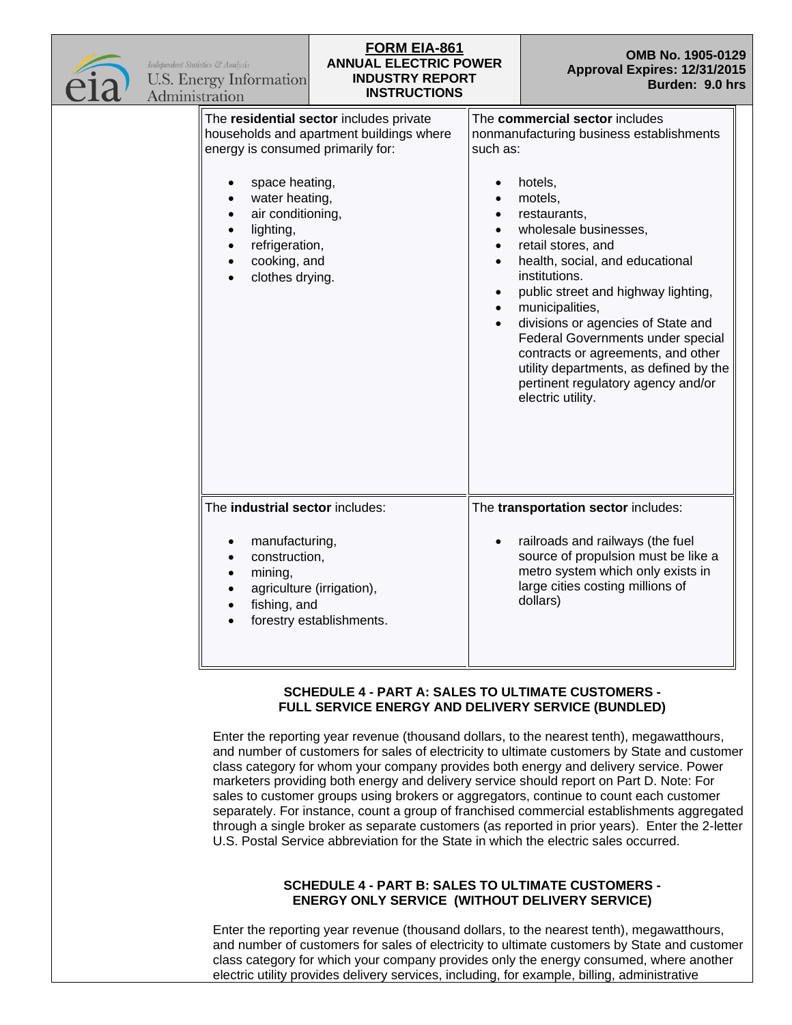| Independent Statistics & Analysis<br>Administration | U.S. Energy Information                                                                                                                                      | <b>FORM EIA-861</b><br><b>ANNUAL ELECTRIC POWER</b><br><b>INDUSTRY REPORT</b><br><b>INSTRUCTIONS</b> |                                                              | OMB No. 1905-0129<br>Approval Expires: 12/31/2015<br>Burden: 9.0 hrs                                                                                                                                                                                                                                                                                                                                                                                                                                |  |
|-----------------------------------------------------|--------------------------------------------------------------------------------------------------------------------------------------------------------------|------------------------------------------------------------------------------------------------------|--------------------------------------------------------------|-----------------------------------------------------------------------------------------------------------------------------------------------------------------------------------------------------------------------------------------------------------------------------------------------------------------------------------------------------------------------------------------------------------------------------------------------------------------------------------------------------|--|
|                                                     | energy is consumed primarily for:<br>space heating,<br>water heating,<br>air conditioning,<br>lighting,<br>refrigeration,<br>cooking, and<br>clothes drying. | The residential sector includes private<br>households and apartment buildings where                  | such as:<br>$\bullet$<br>$\bullet$<br>$\bullet$<br>$\bullet$ | The commercial sector includes<br>nonmanufacturing business establishments<br>hotels,<br>motels,<br>restaurants,<br>wholesale businesses,<br>retail stores, and<br>health, social, and educational<br>institutions.<br>public street and highway lighting,<br>municipalities,<br>divisions or agencies of State and<br>Federal Governments under special<br>contracts or agreements, and other<br>utility departments, as defined by the<br>pertinent regulatory agency and/or<br>electric utility. |  |
|                                                     | The industrial sector includes:<br>manufacturing,<br>construction,<br>$\bullet$<br>mining,<br>fishing, and                                                   | agriculture (irrigation),<br>forestry establishments.                                                |                                                              | The transportation sector includes:<br>railroads and railways (the fuel<br>source of propulsion must be like a<br>metro system which only exists in<br>large cities costing millions of<br>dollars)                                                                                                                                                                                                                                                                                                 |  |

#### **SCHEDULE 4 - PART A: SALES TO ULTIMATE CUSTOMERS - FULL SERVICE ENERGY AND DELIVERY SERVICE (BUNDLED)**

Enter the reporting year revenue (thousand dollars, to the nearest tenth), megawatthours, and number of customers for sales of electricity to ultimate customers by State and customer class category for whom your company provides both energy and delivery service. Power marketers providing both energy and delivery service should report on Part D. Note: For sales to customer groups using brokers or aggregators, continue to count each customer separately. For instance, count a group of franchised commercial establishments aggregated through a single broker as separate customers (as reported in prior years). Enter the 2-letter U.S. Postal Service abbreviation for the State in which the electric sales occurred.

## **SCHEDULE 4 - PART B: SALES TO ULTIMATE CUSTOMERS - ENERGY ONLY SERVICE (WITHOUT DELIVERY SERVICE)**

Enter the reporting year revenue (thousand dollars, to the nearest tenth), megawatthours, and number of customers for sales of electricity to ultimate customers by State and customer class category for which your company provides only the energy consumed, where another electric utility provides delivery services, including, for example, billing, administrative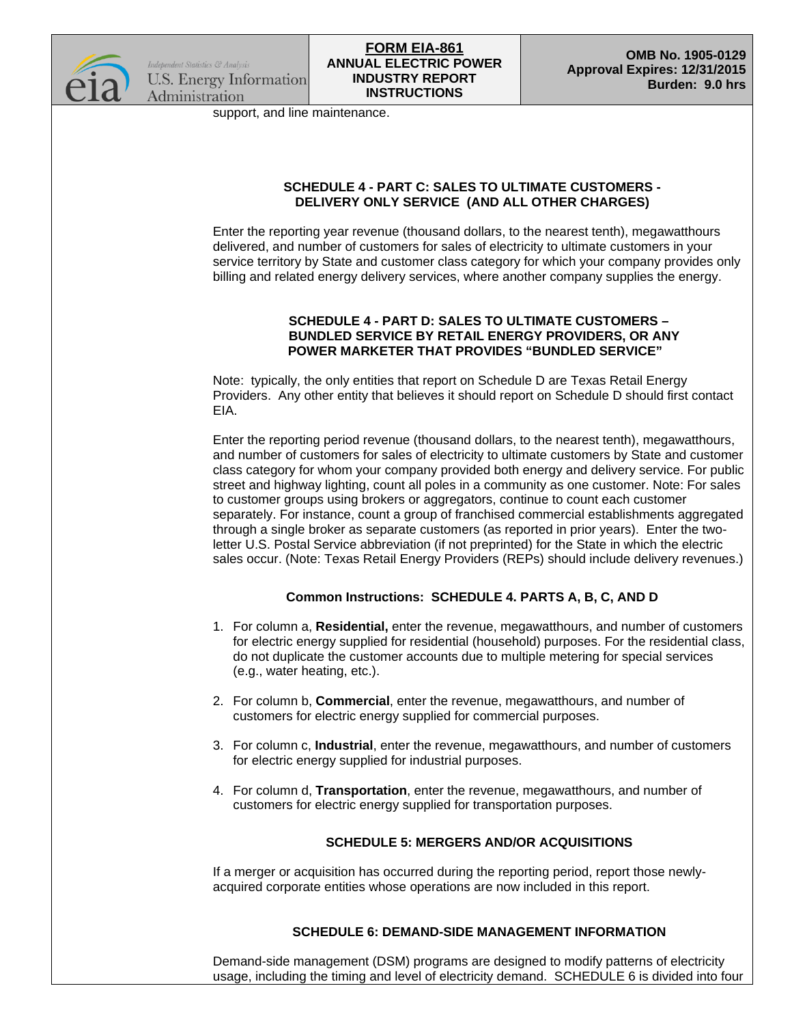

support, and line maintenance.

## **SCHEDULE 4 - PART C: SALES TO ULTIMATE CUSTOMERS - DELIVERY ONLY SERVICE (AND ALL OTHER CHARGES)**

Enter the reporting year revenue (thousand dollars, to the nearest tenth), megawatthours delivered, and number of customers for sales of electricity to ultimate customers in your service territory by State and customer class category for which your company provides only billing and related energy delivery services, where another company supplies the energy.

#### **SCHEDULE 4 - PART D: SALES TO ULTIMATE CUSTOMERS – BUNDLED SERVICE BY RETAIL ENERGY PROVIDERS, OR ANY POWER MARKETER THAT PROVIDES "BUNDLED SERVICE"**

Note: typically, the only entities that report on Schedule D are Texas Retail Energy Providers. Any other entity that believes it should report on Schedule D should first contact EIA.

Enter the reporting period revenue (thousand dollars, to the nearest tenth), megawatthours, and number of customers for sales of electricity to ultimate customers by State and customer class category for whom your company provided both energy and delivery service. For public street and highway lighting, count all poles in a community as one customer. Note: For sales to customer groups using brokers or aggregators, continue to count each customer separately. For instance, count a group of franchised commercial establishments aggregated through a single broker as separate customers (as reported in prior years). Enter the twoletter U.S. Postal Service abbreviation (if not preprinted) for the State in which the electric sales occur. (Note: Texas Retail Energy Providers (REPs) should include delivery revenues.)

## **Common Instructions: SCHEDULE 4. PARTS A, B, C, AND D**

- 1. For column a, **Residential,** enter the revenue, megawatthours, and number of customers for electric energy supplied for residential (household) purposes. For the residential class, do not duplicate the customer accounts due to multiple metering for special services (e.g., water heating, etc.).
- 2. For column b, **Commercial**, enter the revenue, megawatthours, and number of customers for electric energy supplied for commercial purposes.
- 3. For column c, **Industrial**, enter the revenue, megawatthours, and number of customers for electric energy supplied for industrial purposes.
- 4. For column d, **Transportation**, enter the revenue, megawatthours, and number of customers for electric energy supplied for transportation purposes.

## **SCHEDULE 5: MERGERS AND/OR ACQUISITIONS**

If a merger or acquisition has occurred during the reporting period, report those newlyacquired corporate entities whose operations are now included in this report.

## **SCHEDULE 6: DEMAND-SIDE MANAGEMENT INFORMATION**

Demand-side management (DSM) programs are designed to modify patterns of electricity usage, including the timing and level of electricity demand. SCHEDULE 6 is divided into four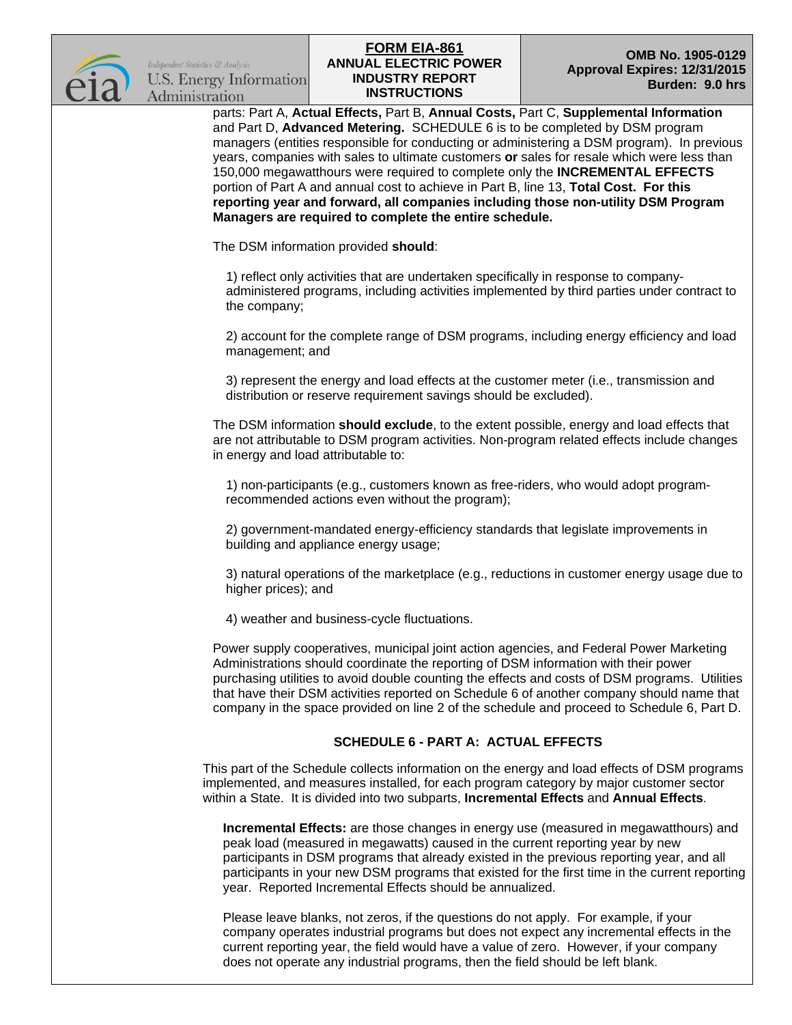

*Indebendent Statistics & Analysis* **U.S. Energy Information** Administration

## **ANNUAL ELECTRIC POWER INDUSTRY REPORT INSTRUCTIONS FORM EIA-861**<br> **COMB No. 1905-0129**

parts: Part A, **Actual Effects,** Part B, **Annual Costs,** Part C, **Supplemental Information**  and Part D, **Advanced Metering.** SCHEDULE 6 is to be completed by DSM program managers (entities responsible for conducting or administering a DSM program). In previous years, companies with sales to ultimate customers **or** sales for resale which were less than 150,000 megawatthours were required to complete only the **INCREMENTAL EFFECTS** portion of Part A and annual cost to achieve in Part B, line 13, **Total Cost. For this reporting year and forward, all companies including those non-utility DSM Program Managers are required to complete the entire schedule.** 

The DSM information provided **should**:

1) reflect only activities that are undertaken specifically in response to companyadministered programs, including activities implemented by third parties under contract to the company;

2) account for the complete range of DSM programs, including energy efficiency and load management; and

3) represent the energy and load effects at the customer meter (i.e., transmission and distribution or reserve requirement savings should be excluded).

The DSM information **should exclude**, to the extent possible, energy and load effects that are not attributable to DSM program activities. Non-program related effects include changes in energy and load attributable to:

1) non-participants (e.g., customers known as free-riders, who would adopt programrecommended actions even without the program);

2) government-mandated energy-efficiency standards that legislate improvements in building and appliance energy usage;

3) natural operations of the marketplace (e.g., reductions in customer energy usage due to higher prices); and

4) weather and business-cycle fluctuations.

Power supply cooperatives, municipal joint action agencies, and Federal Power Marketing Administrations should coordinate the reporting of DSM information with their power purchasing utilities to avoid double counting the effects and costs of DSM programs. Utilities that have their DSM activities reported on Schedule 6 of another company should name that company in the space provided on line 2 of the schedule and proceed to Schedule 6, Part D.

## **SCHEDULE 6 - PART A: ACTUAL EFFECTS**

This part of the Schedule collects information on the energy and load effects of DSM programs implemented, and measures installed, for each program category by major customer sector within a State. It is divided into two subparts, **Incremental Effects** and **Annual Effects**.

**Incremental Effects:** are those changes in energy use (measured in megawatthours) and peak load (measured in megawatts) caused in the current reporting year by new participants in DSM programs that already existed in the previous reporting year, and all participants in your new DSM programs that existed for the first time in the current reporting year. Reported Incremental Effects should be annualized.

Please leave blanks, not zeros, if the questions do not apply. For example, if your company operates industrial programs but does not expect any incremental effects in the current reporting year, the field would have a value of zero. However, if your company does not operate any industrial programs, then the field should be left blank.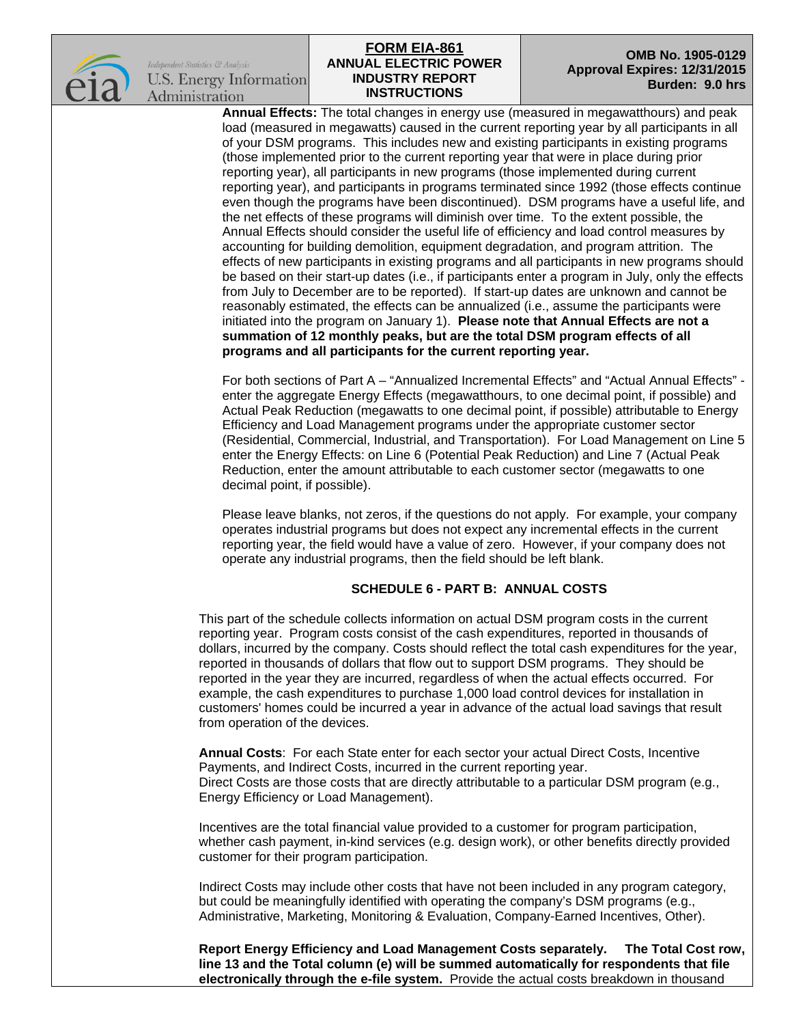

Indebendent Statistics & Analysis **U.S. Energy Information** Administration

#### **ANNUAL ELECTRIC POWER INDUSTRY REPORT INSTRUCTIONS FORM EIA-861 OMB No. 1905-0129**

# **Approval Expires: 12/31/2015 Burden: 9.0 hrs**

**Annual Effects:** The total changes in energy use (measured in megawatthours) and peak load (measured in megawatts) caused in the current reporting year by all participants in all of your DSM programs. This includes new and existing participants in existing programs (those implemented prior to the current reporting year that were in place during prior reporting year), all participants in new programs (those implemented during current reporting year), and participants in programs terminated since 1992 (those effects continue even though the programs have been discontinued). DSM programs have a useful life, and the net effects of these programs will diminish over time. To the extent possible, the Annual Effects should consider the useful life of efficiency and load control measures by accounting for building demolition, equipment degradation, and program attrition. The effects of new participants in existing programs and all participants in new programs should be based on their start-up dates (i.e., if participants enter a program in July, only the effects from July to December are to be reported). If start-up dates are unknown and cannot be reasonably estimated, the effects can be annualized (i.e., assume the participants were initiated into the program on January 1). **Please note that Annual Effects are not a summation of 12 monthly peaks, but are the total DSM program effects of all programs and all participants for the current reporting year.**

For both sections of Part A – "Annualized Incremental Effects" and "Actual Annual Effects" enter the aggregate Energy Effects (megawatthours, to one decimal point, if possible) and Actual Peak Reduction (megawatts to one decimal point, if possible) attributable to Energy Efficiency and Load Management programs under the appropriate customer sector (Residential, Commercial, Industrial, and Transportation). For Load Management on Line 5 enter the Energy Effects: on Line 6 (Potential Peak Reduction) and Line 7 (Actual Peak Reduction, enter the amount attributable to each customer sector (megawatts to one decimal point, if possible).

Please leave blanks, not zeros, if the questions do not apply. For example, your company operates industrial programs but does not expect any incremental effects in the current reporting year, the field would have a value of zero. However, if your company does not operate any industrial programs, then the field should be left blank.

## **SCHEDULE 6 - PART B: ANNUAL COSTS**

This part of the schedule collects information on actual DSM program costs in the current reporting year. Program costs consist of the cash expenditures, reported in thousands of dollars, incurred by the company. Costs should reflect the total cash expenditures for the year, reported in thousands of dollars that flow out to support DSM programs. They should be reported in the year they are incurred, regardless of when the actual effects occurred. For example, the cash expenditures to purchase 1,000 load control devices for installation in customers' homes could be incurred a year in advance of the actual load savings that result from operation of the devices.

**Annual Costs**: For each State enter for each sector your actual Direct Costs, Incentive Payments, and Indirect Costs, incurred in the current reporting year. Direct Costs are those costs that are directly attributable to a particular DSM program (e.g., Energy Efficiency or Load Management).

Incentives are the total financial value provided to a customer for program participation, whether cash payment, in-kind services (e.g. design work), or other benefits directly provided customer for their program participation.

Indirect Costs may include other costs that have not been included in any program category, but could be meaningfully identified with operating the company's DSM programs (e.g., Administrative, Marketing, Monitoring & Evaluation, Company-Earned Incentives, Other).

**Report Energy Efficiency and Load Management Costs separately. The Total Cost row, line 13 and the Total column (e) will be summed automatically for respondents that file electronically through the e-file system.** Provide the actual costs breakdown in thousand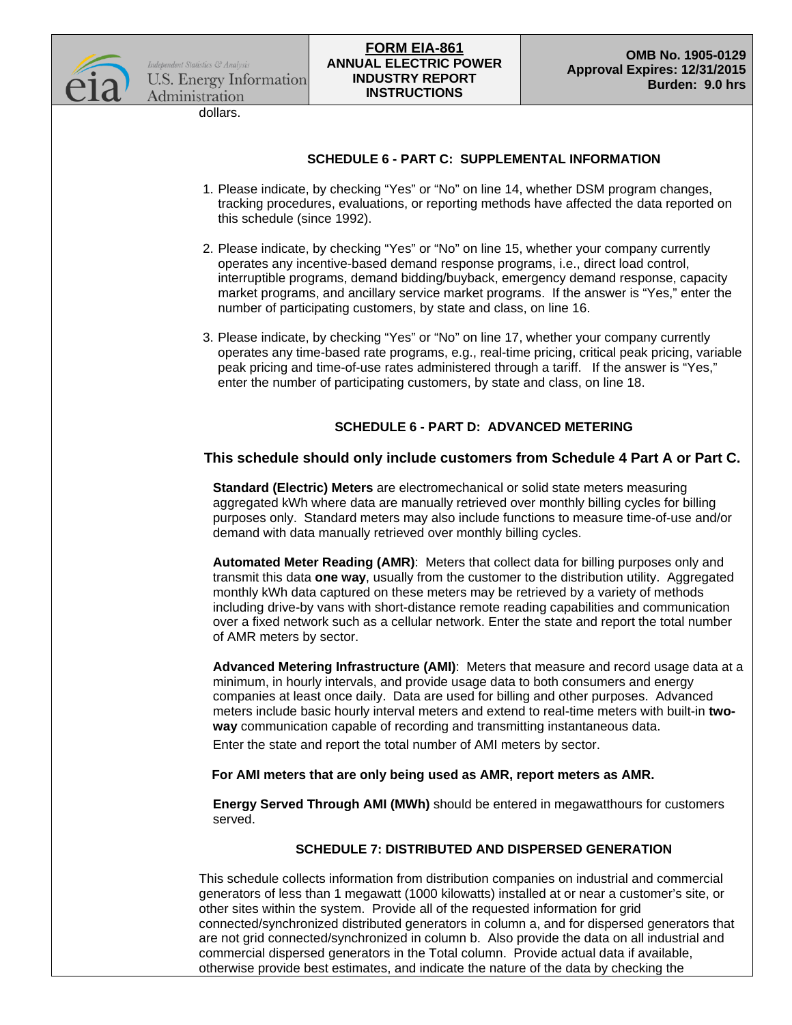

dollars.

## **SCHEDULE 6 - PART C: SUPPLEMENTAL INFORMATION**

- 1. Please indicate, by checking "Yes" or "No" on line 14, whether DSM program changes, tracking procedures, evaluations, or reporting methods have affected the data reported on this schedule (since 1992).
- 2. Please indicate, by checking "Yes" or "No" on line 15, whether your company currently operates any incentive-based demand response programs, i.e., direct load control, interruptible programs, demand bidding/buyback, emergency demand response, capacity market programs, and ancillary service market programs. If the answer is "Yes," enter the number of participating customers, by state and class, on line 16.
- 3. Please indicate, by checking "Yes" or "No" on line 17, whether your company currently operates any time-based rate programs, e.g., real-time pricing, critical peak pricing, variable peak pricing and time-of-use rates administered through a tariff. If the answer is "Yes," enter the number of participating customers, by state and class, on line 18.

## **SCHEDULE 6 - PART D: ADVANCED METERING**

#### **This schedule should only include customers from Schedule 4 Part A or Part C.**

**Standard (Electric) Meters** are electromechanical or solid state meters measuring aggregated kWh where data are manually retrieved over monthly billing cycles for billing purposes only. Standard meters may also include functions to measure time-of-use and/or demand with data manually retrieved over monthly billing cycles.

**Automated Meter Reading (AMR)**: Meters that collect data for billing purposes only and transmit this data **one way**, usually from the customer to the distribution utility. Aggregated monthly kWh data captured on these meters may be retrieved by a variety of methods including drive-by vans with short-distance remote reading capabilities and communication over a fixed network such as a cellular network. Enter the state and report the total number of AMR meters by sector.

**Advanced Metering Infrastructure (AMI)**: Meters that measure and record usage data at a minimum, in hourly intervals, and provide usage data to both consumers and energy companies at least once daily. Data are used for billing and other purposes. Advanced meters include basic hourly interval meters and extend to real-time meters with built-in **twoway** communication capable of recording and transmitting instantaneous data.

Enter the state and report the total number of AMI meters by sector.

#### **For AMI meters that are only being used as AMR, report meters as AMR.**

**Energy Served Through AMI (MWh)** should be entered in megawatthours for customers served.

#### **SCHEDULE 7: DISTRIBUTED AND DISPERSED GENERATION**

This schedule collects information from distribution companies on industrial and commercial generators of less than 1 megawatt (1000 kilowatts) installed at or near a customer's site, or other sites within the system. Provide all of the requested information for grid connected/synchronized distributed generators in column a, and for dispersed generators that are not grid connected/synchronized in column b. Also provide the data on all industrial and commercial dispersed generators in the Total column. Provide actual data if available, otherwise provide best estimates, and indicate the nature of the data by checking the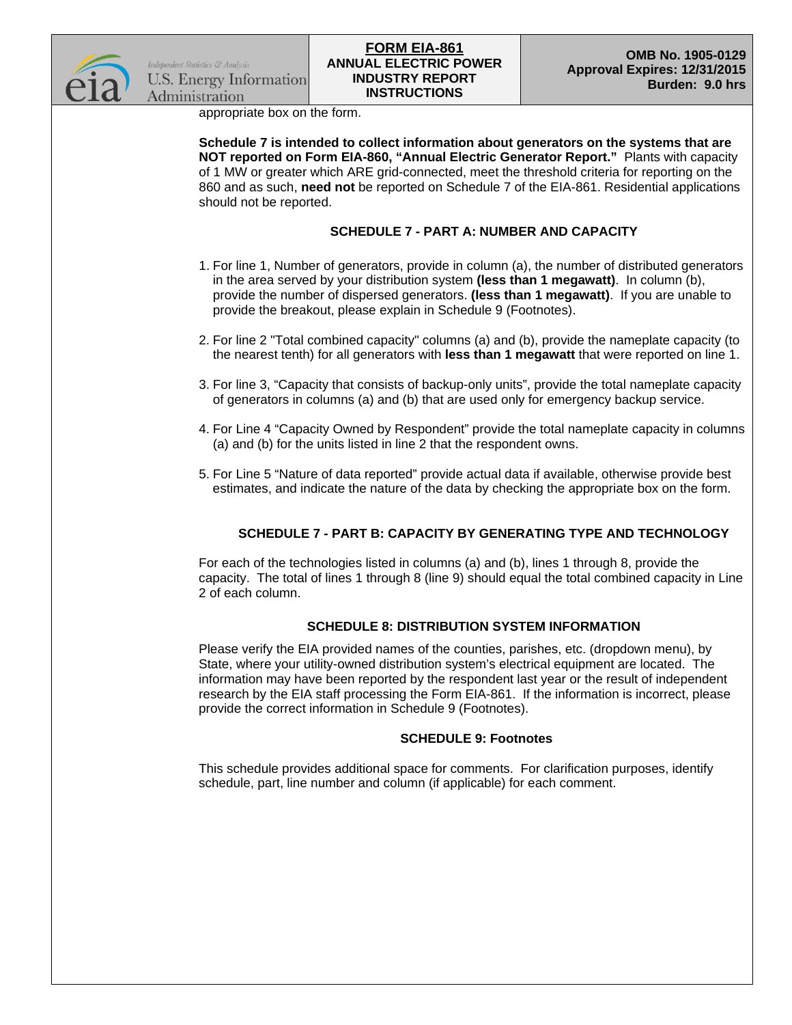

appropriate box on the form.

**Schedule 7 is intended to collect information about generators on the systems that are NOT reported on Form EIA-860, "Annual Electric Generator Report."** Plants with capacity of 1 MW or greater which ARE grid-connected, meet the threshold criteria for reporting on the 860 and as such, **need not** be reported on Schedule 7 of the EIA-861. Residential applications should not be reported.

## **SCHEDULE 7 - PART A: NUMBER AND CAPACITY**

- 1. For line 1, Number of generators, provide in column (a), the number of distributed generators in the area served by your distribution system **(less than 1 megawatt)**. In column (b), provide the number of dispersed generators. **(less than 1 megawatt)**. If you are unable to provide the breakout, please explain in Schedule 9 (Footnotes).
- 2. For line 2 "Total combined capacity" columns (a) and (b), provide the nameplate capacity (to the nearest tenth) for all generators with **less than 1 megawatt** that were reported on line 1.
- 3. For line 3, "Capacity that consists of backup-only units", provide the total nameplate capacity of generators in columns (a) and (b) that are used only for emergency backup service.
- 4. For Line 4 "Capacity Owned by Respondent" provide the total nameplate capacity in columns (a) and (b) for the units listed in line 2 that the respondent owns.
- 5. For Line 5 "Nature of data reported" provide actual data if available, otherwise provide best estimates, and indicate the nature of the data by checking the appropriate box on the form.

## **SCHEDULE 7 - PART B: CAPACITY BY GENERATING TYPE AND TECHNOLOGY**

For each of the technologies listed in columns (a) and (b), lines 1 through 8, provide the capacity. The total of lines 1 through 8 (line 9) should equal the total combined capacity in Line 2 of each column.

## **SCHEDULE 8: DISTRIBUTION SYSTEM INFORMATION**

Please verify the EIA provided names of the counties, parishes, etc. (dropdown menu), by State, where your utility-owned distribution system's electrical equipment are located. The information may have been reported by the respondent last year or the result of independent research by the EIA staff processing the Form EIA-861. If the information is incorrect, please provide the correct information in Schedule 9 (Footnotes).

## **SCHEDULE 9: Footnotes**

This schedule provides additional space for comments. For clarification purposes, identify schedule, part, line number and column (if applicable) for each comment.